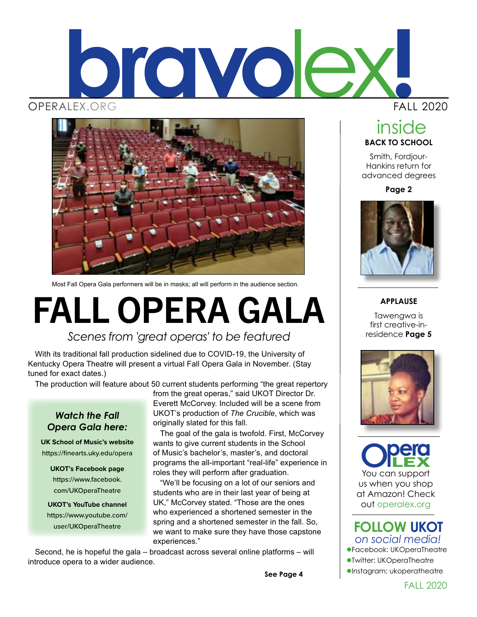



Most Fall Opera Gala performers will be in masks; all will perform in the audience section.

# FALL OPERA GALA

### *Scenes from 'great operas' to be featured*

With its traditional fall production sidelined due to COVID-19, the University of Kentucky Opera Theatre will present a virtual Fall Opera Gala in November. (Stay tuned for exact dates.)

The production will feature about 50 current students performing "the great repertory

#### *Watch the Fall Opera Gala here:*

**UK School of Music's website** https://finearts.uky.edu/opera

**UKOT's Facebook page** https://www.facebook. com/UKOperaTheatre

**UKOT's YouTube channel** https://www.youtube.com/ user/UKOperaTheatre

from the great operas," said UKOT Director Dr. Everett McCorvey. Included will be a scene from UKOT's production of *The Crucible*, which was originally slated for this fall.

The goal of the gala is twofold. First, McCorvey wants to give current students in the School of Music's bachelor's, master's, and doctoral programs the all-important "real-life" experience in roles they will perform after graduation.

"We'll be focusing on a lot of our seniors and students who are in their last year of being at UK," McCorvey stated. "Those are the ones who experienced a shortened semester in the spring and a shortened semester in the fall. So, we want to make sure they have those capstone experiences."

Second, he is hopeful the gala – broadcast across several online platforms – will introduce opera to a wider audience.

**See Page 4**

FALL 2020

### **BACK TO SCHOOL** inside

Smith, Fordjour-Hankins return for advanced degrees

**Page 2**



#### **APPLAUSE**

Tawengwa is first creative-inresidence **Page 5**



You can support us when you shop at Amazon! Check out operalex.org

#### lFacebook: UKOperaTheatre lTwitter: UKOperaTheatre  $\bullet$ Instagram: ukoperatheatre *on social media!* **FOLLOW UKOT**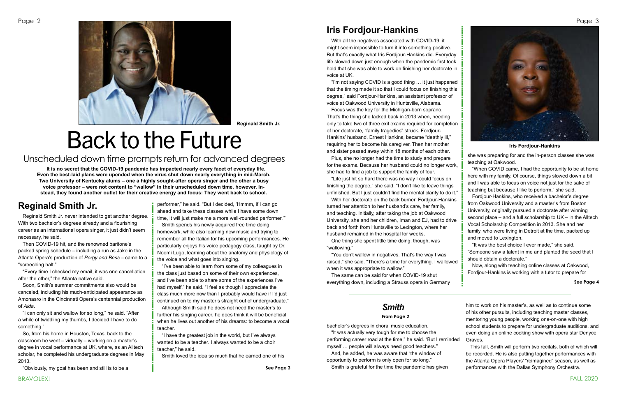



FALL 2020

Reginald Smith Jr. never intended to get another degree. With two bachelor's degrees already and a flourishing career as an international opera singer, it just didn't seem necessary, he said.

Then COVID-19 hit, and the renowned baritone's packed spring schedule – including a run as Jake in the Atlanta Opera's production of *Porgy and Bess* – came to a "screeching halt."

"I can only sit and wallow for so long," he said. "After a while of twiddling my thumbs, I decided I have to do something."

"Every time I checked my email, it was one cancellation after the other," the Atlanta native said.

Soon, Smith's summer commitments also would be canceled, including his much-anticipated appearance as Amonasro in the Cincinnati Opera's centennial production of *Aida*.

So, from his home in Houston, Texas, back to the classroom he went – virtually – working on a master's degree in vocal performance at UK, where, as an Alltech scholar, he completed his undergraduate degrees in May 2013.

"Obviously, my goal has been and still is to be a

performer," he said. "But I decided, 'Hmmm, if I can go ahead and take these classes while I have some down time, it will just make me a more well-rounded performer.'"

Smith spends his newly acquired free time doing homework, while also learning new music and trying to remember all the Italian for his upcoming performances. He particularly enjoys his voice pedagogy class, taught by Dr. Noemi Lugo, learning about the anatomy and physiology of the voice and what goes into singing.

"I've been able to learn from some of my colleagues in the class just based on some of their own experiences, and I've been able to share some of the experiences I've had myself," he said. "I feel as though I appreciate the class much more now than I probably would have if I'd just continued on to my master's straight out of undergraduate."

"You don't wallow in negatives. That's the way I was raised," she said. "There's a time for everything. I wallowed when it was appropriate to wallow."

Although Smith said he does not need the master's to further his singing career, he does think it will be beneficial when he lives out another of his dreams: to become a vocal teacher.

"I have the greatest job in the world, but I've always wanted to be a teacher. I always wanted to be a choir teacher," he said.

Smith loved the idea so much that he earned one of his

With all the negatives associated with COVID-19, it might seem impossible to turn it into something positive. But that's exactly what Iris Fordjour-Hankins did. Everyday life slowed down just enough when the pandemic first took hold that she was able to work on finishing her doctorate in voice at UK.

"I'm not saying COVID is a good thing … it just happened that the timing made it so that I could focus on finishing this degree," said Fordjour-Hankins, an assistant professor of voice at Oakwood University in Huntsville, Alabama.

Focus was the key for the Michigan-born soprano. That's the thing she lacked back in 2013 when, needing only to take two of three exit exams required for completion of her doctorate, "family tragedies" struck. Fordjour-Hankins' husband, Ernest Hankins, became "deathly ill," requiring her to become his caregiver. Then her mother and sister passed away within 18 months of each other.

Plus, she no longer had the time to study and prepare for the exams. Because her husband could no longer work, she had to find a job to support the family of four.

"Life just hit so hard there was no way I could focus on finishing the degree," she said. "I don't like to leave things unfinished. But I just couldn't find the mental clarity to do it."

With her doctorate on the back burner, Fordjour-Hankins turned her attention to her husband's care, her family, and teaching. Initially, after taking the job at Oakwood University, she and her children, Iman and EJ, had to drive back and forth from Huntsville to Lexington, where her husband remained in the hospital for weeks.

One thing she spent little time doing, though, was "wallowing."

The same can be said for when COVID-19 shut everything down, including a Strauss opera in Germany she was preparing for and the in-person classes she was teaching at Oakwood.

"When COVID came, I had the opportunity to be at home here with my family. Of course, things slowed down a bit and I was able to focus on voice not just for the sake of teaching but because I like to perform," she said.

Fordjour-Hankins, who received a bachelor's degree from Oakwood University and a master's from Boston University, originally pursued a doctorate after winning second place – and a full scholarship to UK – in the Alltech Vocal Scholarship Competition in 2013. She and her family, who were living in Detroit at the time, packed up and moved to Lexington.

"It was the best choice I ever made," she said. "Someone saw a talent in me and planted the seed that I should obtain a doctorate."

Now, along with teaching online classes at Oakwood, Fordjour-Hankins is working with a tutor to prepare for

**Reginald Smith Jr.**

# Back to the Future

### Unscheduled down time prompts return for advanced degrees

**It is no secret that the COVID-19 pandemic has impacted nearly every facet of everyday life. Even the best-laid plans were upended when the virus shut down nearly everything in mid-March. Two University of Kentucky alums – one a highly sought-after opera singer and the other a busy voice professor – were not content to "wallow" in their unscheduled down time, however. Instead, they found another outlet for their creative energy and focus: They went back to school.**

**Iris Fordjour-Hankins**

**See Page 4**

## **Iris Fordjour-Hankins**

## **Reginald Smith Jr.**

bachelor's degrees in choral music education. "It was actually very tough for me to choose the performing career road at the time," he said. "But I reminded myself … people will always need good teachers." And, he added, he was aware that "the window of opportunity to perform is only open for so long."

Smith is grateful for the time the pandemic has given

him to work on his master's, as well as to continue some of his other pursuits, including teaching master classes, mentoring young people, working one-on-one with high school students to prepare for undergraduate auditions, and even doing an online cooking show with opera star Denyce Graves.

This fall, Smith will perform two recitals, both of which will be recorded. He is also putting together performances with the Atlanta Opera Players' "reimagined" season, as well as performances with the Dallas Symphony Orchestra.

## *Smith*

#### **From Page 2**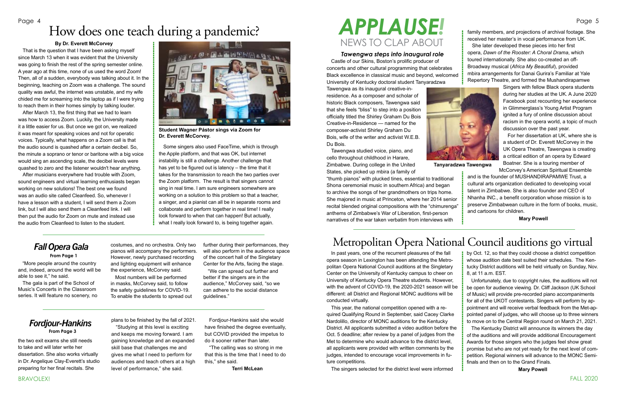FALL 2020

In past years, one of the recurrent pleasures of the fall opera season in Lexington has been attending the Metropolitan Opera National Council auditions at the Singletary Center on the University of Kentucky campus to cheer on University of Kentucky Opera Theatre students. However, with the advent of COVID-19, the 2020-2021 season will be different: all District and Regional MONC auditions will be conducted virtually.

This year, the national competition opened with a required Qualifying Round in September, said Cacey Clarke Nardolillo, director of MONC auditions for the Kentucky District. All applicants submitted a video audition before the Oct. 5 deadline; after review by a panel of judges from the Met to determine who would advance to the district level, all applicants were provided with written comments by the judges, intended to encourage vocal improvements in future competitions.

The singers selected for the district level were informed

by Oct. 12, so that they could choose a district competition whose audition date best suited their schedules. The Kentucky District auditions will be held virtually on Sunday, Nov. 8, at 11 a.m. EST.

Unfortunately, due to copyright rules, the auditions will not be open for audience viewing. Dr. Cliff Jackson (UK School of Music) will provide pre-recorded piano accompaniments for all of the UKOT contestants. Singers will perform by appointment and will receive verbal feedback from the Met-appointed panel of judges, who will choose up to three winners to move on to the Central Region round on March 21, 2021.

The Kentucky District will announce its winners the day of the auditions and will provide additional Encouragement Awards for those singers who the judges feel show great promise but who are not yet ready for the next level of competition. Regional winners will advance to the MONC Semifinals and then on to the Grand Finals.

**Mary Powell**

"More people around the country and, indeed, around the world will be able to see it," he said.

The gala is part of the School of Music's Concerts in the Classroom series. It will feature no scenery, no costumes, and no orchestra. Only two

pianos will accompany the performers. However, newly purchased recording and lighting equipment will enhance the experience, McCorvey said. Most numbers will be performed

in masks, McCorvey said, to follow the safety guidelines for COVID-19. To enable the students to spread out further during their performances, they will also perform in the audience space of the concert hall of the Singletary Center for the Arts, facing the stage.

"We can spread out further and better if the singers are in the audience," McCorvey said, "so we can adhere to the social distance guidelines."

the two exit exams she still needs to take and will later write her dissertation. She also works virtually in Dr. Angelique Clay-Everett's studio preparing for her final recitals. She

plans to be finished by the fall of 2021.

"Studying at this level is exciting and keeps me moving forward. I am gaining knowledge and an expanded skill base that challenges me and gives me what I need to perform for audiences and teach others at a high level of performance," she said.

Fordjour-Hankins said she would have finished the degree eventually, but COVID provided the impetus to do it sooner rather than later.

"The calling was so strong in me that this is the time that I need to do this," she said.

**Terri McLean**

#### *Fordjour-Hankins* **From Page 3**

#### **By Dr. Everett McCorvey**

That is the question that I have been asking myself since March 13 when it was evident that the University was going to finish the rest of the spring semester online. A year ago at this time, none of us used the word Zoom! Then, all of a sudden, everybody was talking about it. In the beginning, teaching on Zoom was a challenge. The sound quality was awful, the internet was unstable, and my wife chided me for screaming into the laptop as if I were trying to reach them in their homes simply by talking louder.

### Page 4 How does one teach during a pandemic?

After March 13, the first thing that we had to learn was how to access Zoom. Luckily, the University made it a little easier for us. But once we got on, we realized it was meant for speaking voices and not for operatic voices. Typically, what happens on a Zoom call is that the audio sound is quashed after a certain decibel. So, the minute a soprano or tenor or baritone with a big voice would sing an ascending scale, the decibel levels were quashed to zero and the listener wouldn't hear anything.

After musicians everywhere had trouble with Zoom, sound engineers and virtual learning enthusiasts began working on new solutions! The best one we found was an audio site called Cleanfeed. So, whenever I have a lesson with a student, I will send them a Zoom link, but I will also send them a Cleanfeed link. I will then put the audio for Zoom on mute and instead use the audio from Cleanfeed to listen to the student.

Some singers also used FaceTime, which is through the Apple platform, and that was OK, but internet instability is still a challenge. Another challenge that has yet to be figured out is latency – the time that it takes for the transmission to reach the two parties over the Zoom platform. The result is that singers cannot sing in real time. I am sure engineers somewhere are working on a solution to this problem so that a teacher, a singer, and a pianist can all be in separate rooms and collaborate and perform together in real time! I really look forward to when that can happen! But actually, what I really look forward to, is being together again.

#### *Tawengwa steps into inaugural role*

Castle of our Skins, Boston's prolific producer of concerts and other cultural programming that celebrates Black excellence in classical music and beyond, welcomed University of Kentucky doctoral student Tanyaradzwa

Tawengwa as its inaugural creative-inresidence. As a composer and scholar of historic Black composers, Tawengwa said that she feels "bliss" to step into a position officially titled the Shirley Graham Du Bois Creative-in-Residence — named for the composer-activist Shirley Graham Du Bois, wife of the writer and activist W.E.B. Du Bois.



Tawengwa studied voice, piano, and cello throughout childhood in Harare, Zimbabwe. During college in the United States, she picked up mbira (a family of

"thumb pianos" with plucked tines, essential to traditional Shona ceremonial music in southern Africa) and began to archive the songs of her grandmothers on trips home. She majored in music at Princeton, where her 2014 senior recital blended original compositions with the "chimurenga" anthems of Zimbabwe's War of Liberation, first-person narratives of the war taken verbatim from interviews with

## Fall Opera Gala costumes, and no orchestra. Only two further during their performances, they Metropolitan Opera National Council auditions go virtual

family members, and projections of archival footage. She received her master's in vocal performance from UK. She later developed these pieces into her first opera, *Dawn of the Rooster: A Choral Drama*, which toured internationally. She also co-created an off-Broadway musical (*Africa My Beautiful*), provided mbira arrangements for Danai Gurira's Familiar at Yale Repertory Theatre, and formed the Mushandirapamwe

Singers with fellow Black opera students during her studies at the UK. A June 2020 Facebook post recounting her experience in Glimmerglass's Young Artist Program ignited a fury of online discussion about racism in the opera world, a topic of much discussion over the past year.

For her dissertation at UK, where she is a student of Dr. Everett McCorvey in the UK Opera Theatre, Tawengwa is creating a critical edition of an opera by Edward Boatner. She is a touring member of

McCorvey's American Spiritual Ensemble and is the founder of MUSHANDIRAPAMWE Trust, a cultural arts organization dedicated to developing vocal talent in Zimbabwe. She is also founder and CEO of Nhanha INC., a benefit corporation whose mission is to preserve Zimbabwean culture in the form of books, music, and cartoons for children.

**Mary Powell**

## *APPLAUSE!* NEWS TO CLAP ABOUT

**Tanyaradzwa Tawengwa**

**From Page 1**



**Student Wagner Pástor sings via Zoom for Dr. Everett McCorvey.**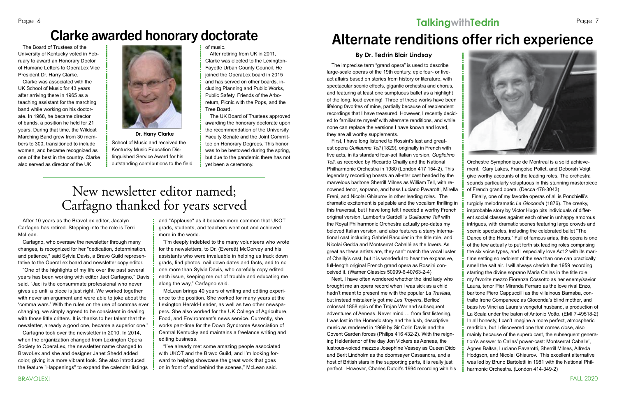After 10 years as the BravoLex editor, Jacalyn Carfagno has retired. Stepping into the role is Terri McLean.

Carfagno, who oversaw the newsletter through many changes, is recognized for her "dedication, determination, and patience," said Sylvia Davis, a Bravo Guild representative to the OperaLex board and newsletter copy editor.

"One of the highlights of my life over the past several years has been working with editor Jaci Carfagno," Davis said. "Jaci is the consummate professional who never gives up until a piece is just right. We worked together with never an argument and were able to joke about the 'comma wars.' With the rules on the use of commas ever changing, we simply agreed to be consistent in dealing with those little critters. It is thanks to her talent that the newsletter, already a good one, became a superior one."

Carfagno took over the newsletter in 2010. In 2014, when the organization changed from Lexington Opera Society to OperaLex, the newsletter name changed to BravoLex and she and designer Janet Shedd added color, giving it a more vibrant look. She also introduced the feature "Happenings" to expand the calendar listings and "Applause" as it became more common that UKOT grads, students, and teachers went out and achieved more in the world.

"I'm deeply indebted to the many volunteers who wrote for the newsletters, to Dr. (Everett) McCorvey and his assistants who were invaluable in helping us track down grads, find photos, nail down dates and facts, and to no one more than Sylvia Davis, who carefully copy edited each issue, keeping me out of trouble and educating me along the way," Carfagno said.

McLean brings 40 years of writing and editing experience to the position. She worked for many years at the Lexington Herald-Leader, as well as two other newspapers. She also worked for the UK College of Agriculture, Food, and Environment's news service. Currently, she works part-time for the Down Syndrome Association of Central Kentucky and maintains a freelance writing and editing business.

"I've already met some amazing people associated with UKOT and the Bravo Guild, and I'm looking forward to helping showcase the great work that goes on in front of and behind the scenes," McLean said.

## **TalkingwithTedrin**



The imprecise term "grand opera" is used to describe large-scale operas of the 19th century, epic four- or fiveact affairs based on stories from history or literature, with spectacular scenic effects, gigantic orchestra and chorus, and featuring at least one sumptuous ballet as a highlight of the long, loud evening! Three of these works have been lifelong favorites of mine, partially because of resplendent recordings that I have treasured. However, I recently decided to familiarize myself with alternate renditions, and while none can replace the versions I have known and loved, they are all worthy supplements.

First, I have long listened to Rossini's last and greatest opera *Guillaume Tell* (1829), originally in French with five acts, in its standard four-act Italian version, *Guglielmo Tell*, as recorded by Riccardo Chailly and the National Philharmonic Orchestra in 1980 (London 417 154-2). This legendary recording boasts an all-star cast headed by the marvelous baritone Sherrill Milnes as William Tell, with renowned tenor, soprano, and bass Luciano Pavarotti, Mirella Freni, and Nicolai Ghiaurov in other leading roles. The dramatic excitement is palpable and the vocalism thrilling in this traversal, but I have long felt I needed a worthy French original version. Lambert's Gardelli's *Guillaume Tell* with the Royal Philharmonic Orchestra actually pre-dates my beloved Italian version, and also features a starry international cast including Gabriel Bacquier in the title role, and Nicolai Gedda and Montserrat Caballé as the lovers. As great as these artists are, they can't match the vocal luster of Chailly's cast, but it is wonderful to hear the expansive, full-length original French grand opera as Rossini conceived it. (Warner Classics 50999-6-40763-2-4)

Next, I have often wondered whether the kind lady who brought me an opera record when I was sick as a child hadn't meant to present me with the popular *La Traviata*, but instead mistakenly got me *Les Troyens*, Berlioz' colossal 1858 epic of the Trojan War and subsequent adventures of Aeneas. Never mind … from first listening, I was lost in the Homeric story and the lush, descriptive music as rendered in 1969 by Sir Colin Davis and the Covent Garden forces (Philips 416 432-2). With the reigning Heldentenor of the day Jon Vickers as Aeneas, the lustrous-voiced mezzos Josephine Veasey as Queen Dido and Berit Lindholm as the doomsayer Cassandra, and a host of British stars in the supporting parts, it is really just perfect. However, Charles Dutoit's 1994 recording with his Orchestre Symphonique de Montreal is a solid achievement. Gary Lakes, Françoise Pollet, and Deborah Voigt give worthy accounts of the leading roles. The orchestra sounds particularly voluptuous in this stunning masterpiece of French grand opera. (Decca 478-3043)

Finally, one of my favorite operas of all is Ponchielli's turgidly melodramatic *La Gioconda* (1876). The creaky, improbable story by Victor Hugo pits individuals of different social classes against each other in unhappy amorous intrigues, with dramatic scenes featuring large crowds and scenic spectacles, including the celebrated ballet "The Dance of the Hours." Full of famous arias, this opera is one of the few actually to put forth six leading roles comprising the six voice types, and I especially love Act 2 with its maritime setting so redolent of the sea than one can practically smell the salt air. I will always cherish the 1959 recording starring the divine soprano Maria Callas in the title role, my favorite mezzo Fiorenza Cossotto as her enemy/savior Laura, tenor Pier Miranda Ferraro as the love rival Enzo, baritone Piero Cappuccilli as the villainous Barnaba, contralto Irene Companeez as Gioconda's blind mother, and bass Ivo Vinci as Laura's vengeful husband, a production of La Scala under the baton of Antonio Votto. (EMI 7-49518-2) In all honesty, I can't imagine a more perfect, atmospheric rendition, but I discovered one that comes close, also mainly because of the superb cast, the subsequent generation's answer to Callas' power-cast: Montserrat Caballe', Agnes Baltsa, Luciano Pavarotti, Sherrill Milnes, Alfreda Hodgson, and Nicolai Ghiaurov. This excellent alternative was led by Bruno Bartoletti in 1981 with the National Philharmonic Orchestra. (London 414-349-2)

#### **By Dr. Tedrin Blair Lindsay**

# Alternate renditions offer rich experience

## New newsletter editor named; Carfagno thanked for years served

The Board of Trustees of the University of Kentucky voted in February to award an Honorary Doctor of Humane Letters to OperaLex Vice President Dr. Harry Clarke.

Clarke was associated with the UK School of Music for 43 years after arriving there in 1965 as a teaching assistant for the marching band while working on his doctorate. In 1968, he became director of bands, a position he held for 21 years. During that time, the Wildcat Marching Band grew from 30 members to 300, transitioned to include women, and became recognized as one of the best in the country. Clarke also served as director of the UK



School of Music and received the Kentucky Music Education Distinguished Service Award for his outstanding contributions to the field of music.

After retiring from UK in 2011, Clarke was elected to the Lexington-Fayette Urban County Council. He joined the OperaLex board in 2015 and has served on other boards, including Planning and Public Works, Public Safety, Friends of the Arboretum, Picnic with the Pops, and the Tree Board.

The UK Board of Trustees approved awarding the honorary doctorate upon the recommendation of the University Faculty Senate and the Joint Committee on Honorary Degrees. This honor was to be bestowed during the spring, but due to the pandemic there has not yet been a ceremony.

## Clarke awarded honorary doctorate

**Dr. Harry Clarke**